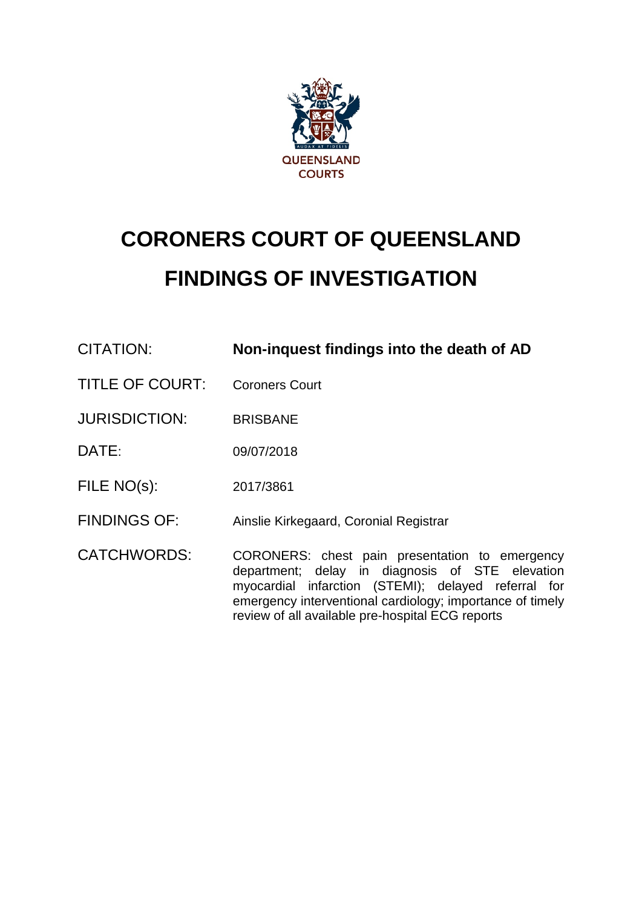

# **CORONERS COURT OF QUEENSLAND FINDINGS OF INVESTIGATION**

| CITATION:              | Non-inquest findings into the death of AD                                                                                                                                                                                                                                 |
|------------------------|---------------------------------------------------------------------------------------------------------------------------------------------------------------------------------------------------------------------------------------------------------------------------|
| <b>TITLE OF COURT:</b> | <b>Coroners Court</b>                                                                                                                                                                                                                                                     |
| <b>JURISDICTION:</b>   | <b>BRISBANE</b>                                                                                                                                                                                                                                                           |
| DATE:                  | 09/07/2018                                                                                                                                                                                                                                                                |
| FILE NO(s):            | 2017/3861                                                                                                                                                                                                                                                                 |
| <b>FINDINGS OF:</b>    | Ainslie Kirkegaard, Coronial Registrar                                                                                                                                                                                                                                    |
| <b>CATCHWORDS:</b>     | CORONERS: chest pain presentation to emergency<br>department; delay in diagnosis of STE elevation<br>myocardial infarction (STEMI); delayed referral for<br>emergency interventional cardiology; importance of timely<br>review of all available pre-hospital ECG reports |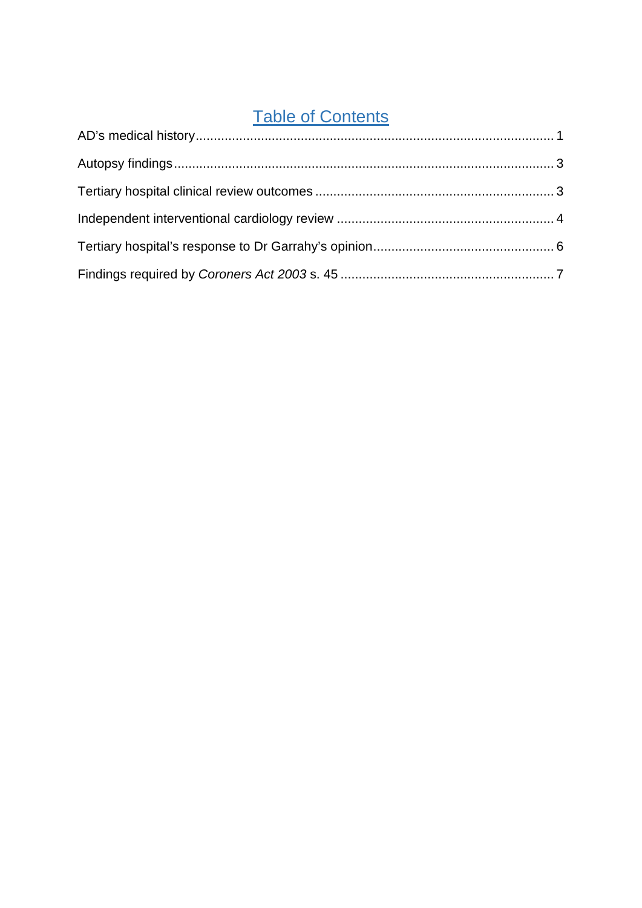# Table of Contents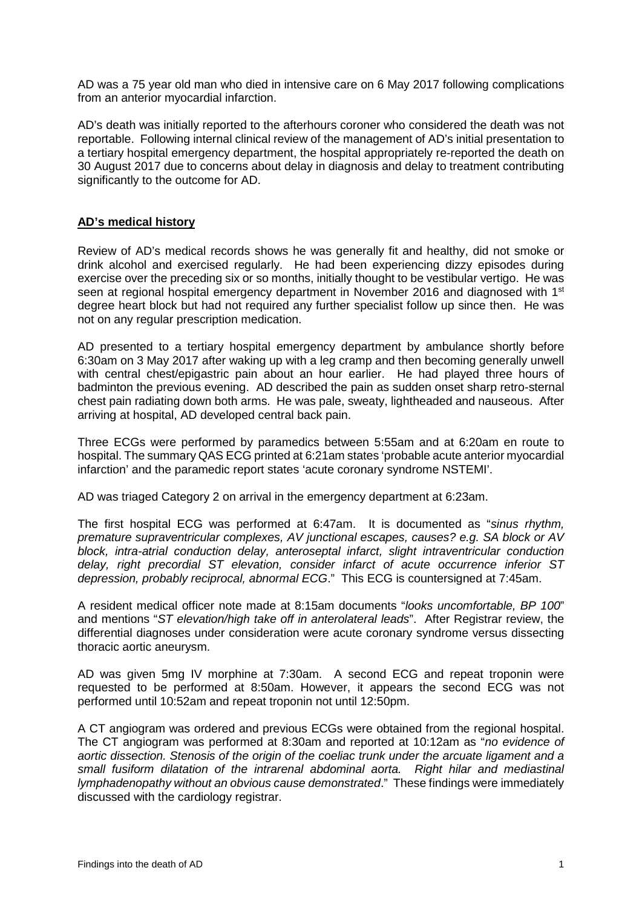AD was a 75 year old man who died in intensive care on 6 May 2017 following complications from an anterior myocardial infarction.

AD's death was initially reported to the afterhours coroner who considered the death was not reportable. Following internal clinical review of the management of AD's initial presentation to a tertiary hospital emergency department, the hospital appropriately re-reported the death on 30 August 2017 due to concerns about delay in diagnosis and delay to treatment contributing significantly to the outcome for AD.

#### <span id="page-2-0"></span>**AD's medical history**

Review of AD's medical records shows he was generally fit and healthy, did not smoke or drink alcohol and exercised regularly. He had been experiencing dizzy episodes during exercise over the preceding six or so months, initially thought to be vestibular vertigo. He was seen at regional hospital emergency department in November 2016 and diagnosed with 1<sup>st</sup> degree heart block but had not required any further specialist follow up since then. He was not on any regular prescription medication.

AD presented to a tertiary hospital emergency department by ambulance shortly before 6:30am on 3 May 2017 after waking up with a leg cramp and then becoming generally unwell with central chest/epigastric pain about an hour earlier. He had played three hours of badminton the previous evening. AD described the pain as sudden onset sharp retro-sternal chest pain radiating down both arms. He was pale, sweaty, lightheaded and nauseous. After arriving at hospital, AD developed central back pain.

Three ECGs were performed by paramedics between 5:55am and at 6:20am en route to hospital. The summary QAS ECG printed at 6:21am states 'probable acute anterior myocardial infarction' and the paramedic report states 'acute coronary syndrome NSTEMI'.

AD was triaged Category 2 on arrival in the emergency department at 6:23am.

The first hospital ECG was performed at 6:47am. It is documented as "*sinus rhythm, premature supraventricular complexes, AV junctional escapes, causes? e.g. SA block or AV block, intra-atrial conduction delay, anteroseptal infarct, slight intraventricular conduction delay, right precordial ST elevation, consider infarct of acute occurrence inferior ST depression, probably reciprocal, abnormal ECG*." This ECG is countersigned at 7:45am.

A resident medical officer note made at 8:15am documents "*looks uncomfortable, BP 100*" and mentions "*ST elevation/high take off in anterolateral leads*". After Registrar review, the differential diagnoses under consideration were acute coronary syndrome versus dissecting thoracic aortic aneurysm.

AD was given 5mg IV morphine at 7:30am. A second ECG and repeat troponin were requested to be performed at 8:50am. However, it appears the second ECG was not performed until 10:52am and repeat troponin not until 12:50pm.

A CT angiogram was ordered and previous ECGs were obtained from the regional hospital. The CT angiogram was performed at 8:30am and reported at 10:12am as "*no evidence of aortic dissection. Stenosis of the origin of the coeliac trunk under the arcuate ligament and a small fusiform dilatation of the intrarenal abdominal aorta. Right hilar and mediastinal lymphadenopathy without an obvious cause demonstrated*." These findings were immediately discussed with the cardiology registrar.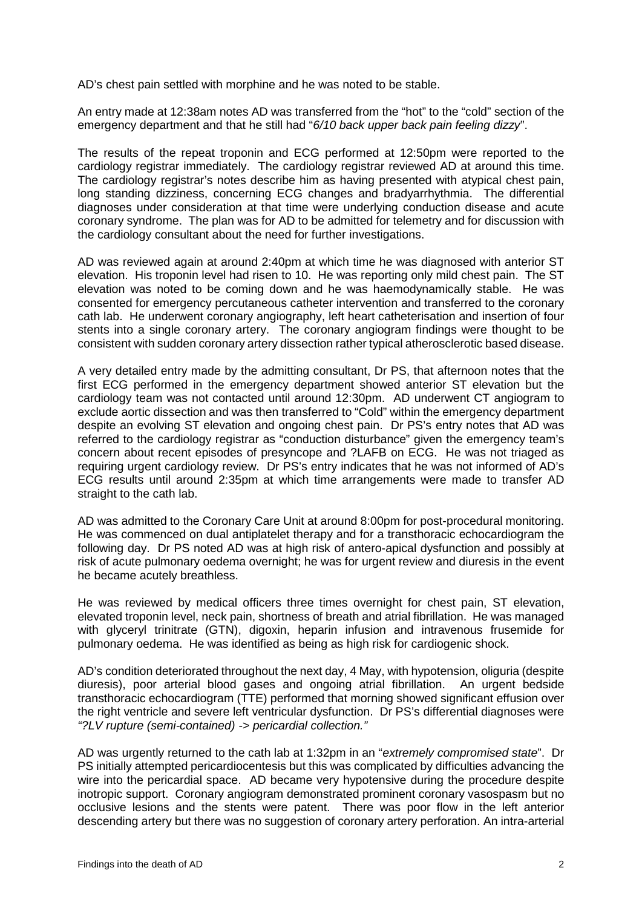AD's chest pain settled with morphine and he was noted to be stable.

An entry made at 12:38am notes AD was transferred from the "hot" to the "cold" section of the emergency department and that he still had "*6/10 back upper back pain feeling dizzy*".

The results of the repeat troponin and ECG performed at 12:50pm were reported to the cardiology registrar immediately. The cardiology registrar reviewed AD at around this time. The cardiology registrar's notes describe him as having presented with atypical chest pain, long standing dizziness, concerning ECG changes and bradyarrhythmia. The differential diagnoses under consideration at that time were underlying conduction disease and acute coronary syndrome. The plan was for AD to be admitted for telemetry and for discussion with the cardiology consultant about the need for further investigations.

AD was reviewed again at around 2:40pm at which time he was diagnosed with anterior ST elevation. His troponin level had risen to 10. He was reporting only mild chest pain. The ST elevation was noted to be coming down and he was haemodynamically stable. He was consented for emergency percutaneous catheter intervention and transferred to the coronary cath lab. He underwent coronary angiography, left heart catheterisation and insertion of four stents into a single coronary artery. The coronary angiogram findings were thought to be consistent with sudden coronary artery dissection rather typical atherosclerotic based disease.

A very detailed entry made by the admitting consultant, Dr PS, that afternoon notes that the first ECG performed in the emergency department showed anterior ST elevation but the cardiology team was not contacted until around 12:30pm. AD underwent CT angiogram to exclude aortic dissection and was then transferred to "Cold" within the emergency department despite an evolving ST elevation and ongoing chest pain. Dr PS's entry notes that AD was referred to the cardiology registrar as "conduction disturbance" given the emergency team's concern about recent episodes of presyncope and ?LAFB on ECG. He was not triaged as requiring urgent cardiology review. Dr PS's entry indicates that he was not informed of AD's ECG results until around 2:35pm at which time arrangements were made to transfer AD straight to the cath lab.

AD was admitted to the Coronary Care Unit at around 8:00pm for post-procedural monitoring. He was commenced on dual antiplatelet therapy and for a transthoracic echocardiogram the following day. Dr PS noted AD was at high risk of antero-apical dysfunction and possibly at risk of acute pulmonary oedema overnight; he was for urgent review and diuresis in the event he became acutely breathless.

He was reviewed by medical officers three times overnight for chest pain, ST elevation, elevated troponin level, neck pain, shortness of breath and atrial fibrillation. He was managed with glyceryl trinitrate (GTN), digoxin, heparin infusion and intravenous frusemide for pulmonary oedema. He was identified as being as high risk for cardiogenic shock.

AD's condition deteriorated throughout the next day, 4 May, with hypotension, oliguria (despite diuresis), poor arterial blood gases and ongoing atrial fibrillation. An urgent bedside transthoracic echocardiogram (TTE) performed that morning showed significant effusion over the right ventricle and severe left ventricular dysfunction. Dr PS's differential diagnoses were *"?LV rupture (semi-contained) -> pericardial collection."*

AD was urgently returned to the cath lab at 1:32pm in an "*extremely compromised state*". Dr PS initially attempted pericardiocentesis but this was complicated by difficulties advancing the wire into the pericardial space. AD became very hypotensive during the procedure despite inotropic support. Coronary angiogram demonstrated prominent coronary vasospasm but no occlusive lesions and the stents were patent. There was poor flow in the left anterior descending artery but there was no suggestion of coronary artery perforation. An intra-arterial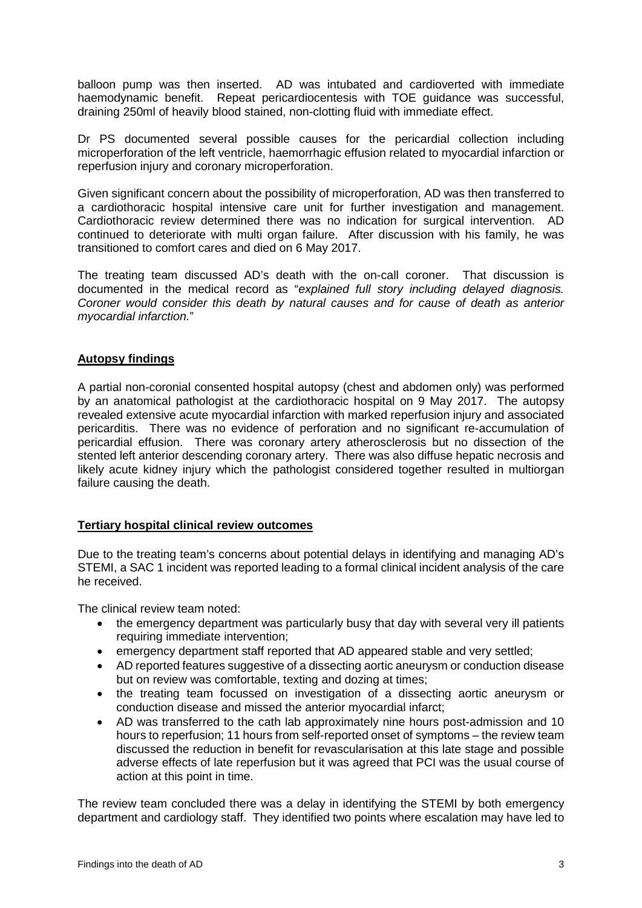balloon pump was then inserted. AD was intubated and cardioverted with immediate haemodynamic benefit. Repeat pericardiocentesis with TOE guidance was successful, draining 250ml of heavily blood stained, non-clotting fluid with immediate effect.

Dr PS documented several possible causes for the pericardial collection including microperforation of the left ventricle, haemorrhagic effusion related to myocardial infarction or reperfusion injury and coronary microperforation.

Given significant concern about the possibility of microperforation, AD was then transferred to a cardiothoracic hospital intensive care unit for further investigation and management. Cardiothoracic review determined there was no indication for surgical intervention. AD continued to deteriorate with multi organ failure. After discussion with his family, he was transitioned to comfort cares and died on 6 May 2017.

The treating team discussed AD's death with the on-call coroner. That discussion is documented in the medical record as "*explained full story including delayed diagnosis. Coroner would consider this death by natural causes and for cause of death as anterior myocardial infarction.*"

## <span id="page-4-0"></span>**Autopsy findings**

A partial non-coronial consented hospital autopsy (chest and abdomen only) was performed by an anatomical pathologist at the cardiothoracic hospital on 9 May 2017. The autopsy revealed extensive acute myocardial infarction with marked reperfusion injury and associated pericarditis. There was no evidence of perforation and no significant re-accumulation of pericardial effusion. There was coronary artery atherosclerosis but no dissection of the stented left anterior descending coronary artery. There was also diffuse hepatic necrosis and likely acute kidney injury which the pathologist considered together resulted in multiorgan failure causing the death.

#### <span id="page-4-1"></span>**Tertiary hospital clinical review outcomes**

Due to the treating team's concerns about potential delays in identifying and managing AD's STEMI, a SAC 1 incident was reported leading to a formal clinical incident analysis of the care he received.

The clinical review team noted:

- the emergency department was particularly busy that day with several very ill patients requiring immediate intervention;
- emergency department staff reported that AD appeared stable and very settled;
- AD reported features suggestive of a dissecting aortic aneurysm or conduction disease but on review was comfortable, texting and dozing at times;
- the treating team focussed on investigation of a dissecting aortic aneurysm or conduction disease and missed the anterior myocardial infarct;
- AD was transferred to the cath lab approximately nine hours post-admission and 10 hours to reperfusion; 11 hours from self-reported onset of symptoms – the review team discussed the reduction in benefit for revascularisation at this late stage and possible adverse effects of late reperfusion but it was agreed that PCI was the usual course of action at this point in time.

The review team concluded there was a delay in identifying the STEMI by both emergency department and cardiology staff. They identified two points where escalation may have led to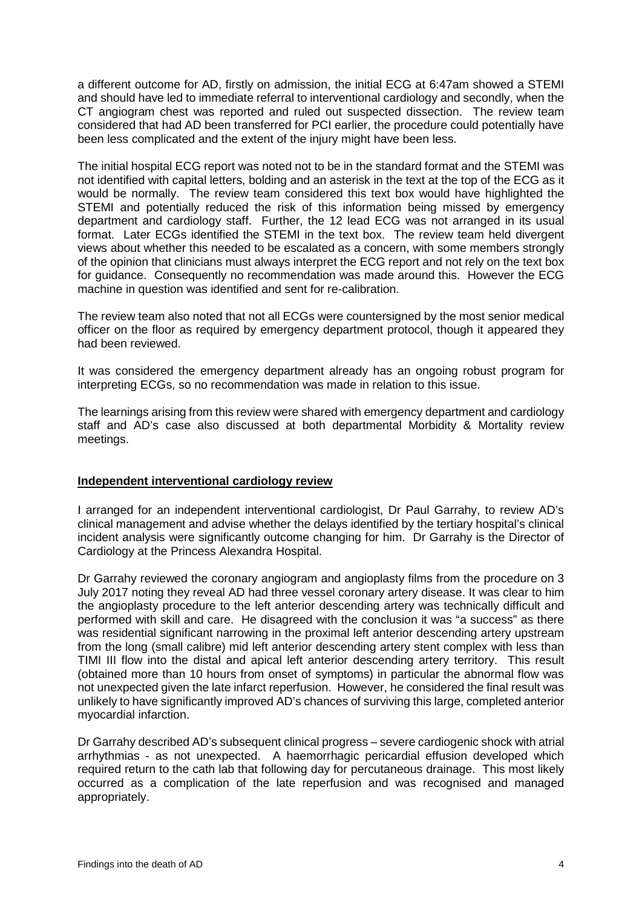a different outcome for AD, firstly on admission, the initial ECG at 6:47am showed a STEMI and should have led to immediate referral to interventional cardiology and secondly, when the CT angiogram chest was reported and ruled out suspected dissection. The review team considered that had AD been transferred for PCI earlier, the procedure could potentially have been less complicated and the extent of the injury might have been less.

The initial hospital ECG report was noted not to be in the standard format and the STEMI was not identified with capital letters, bolding and an asterisk in the text at the top of the ECG as it would be normally. The review team considered this text box would have highlighted the STEMI and potentially reduced the risk of this information being missed by emergency department and cardiology staff. Further, the 12 lead ECG was not arranged in its usual format. Later ECGs identified the STEMI in the text box. The review team held divergent views about whether this needed to be escalated as a concern, with some members strongly of the opinion that clinicians must always interpret the ECG report and not rely on the text box for guidance. Consequently no recommendation was made around this. However the ECG machine in question was identified and sent for re-calibration.

The review team also noted that not all ECGs were countersigned by the most senior medical officer on the floor as required by emergency department protocol, though it appeared they had been reviewed.

It was considered the emergency department already has an ongoing robust program for interpreting ECGs, so no recommendation was made in relation to this issue.

The learnings arising from this review were shared with emergency department and cardiology staff and AD's case also discussed at both departmental Morbidity & Mortality review meetings.

#### <span id="page-5-0"></span>**Independent interventional cardiology review**

I arranged for an independent interventional cardiologist, Dr Paul Garrahy, to review AD's clinical management and advise whether the delays identified by the tertiary hospital's clinical incident analysis were significantly outcome changing for him. Dr Garrahy is the Director of Cardiology at the Princess Alexandra Hospital.

Dr Garrahy reviewed the coronary angiogram and angioplasty films from the procedure on 3 July 2017 noting they reveal AD had three vessel coronary artery disease. It was clear to him the angioplasty procedure to the left anterior descending artery was technically difficult and performed with skill and care. He disagreed with the conclusion it was "a success" as there was residential significant narrowing in the proximal left anterior descending artery upstream from the long (small calibre) mid left anterior descending artery stent complex with less than TIMI III flow into the distal and apical left anterior descending artery territory. This result (obtained more than 10 hours from onset of symptoms) in particular the abnormal flow was not unexpected given the late infarct reperfusion. However, he considered the final result was unlikely to have significantly improved AD's chances of surviving this large, completed anterior myocardial infarction.

Dr Garrahy described AD's subsequent clinical progress – severe cardiogenic shock with atrial arrhythmias - as not unexpected. A haemorrhagic pericardial effusion developed which required return to the cath lab that following day for percutaneous drainage. This most likely occurred as a complication of the late reperfusion and was recognised and managed appropriately.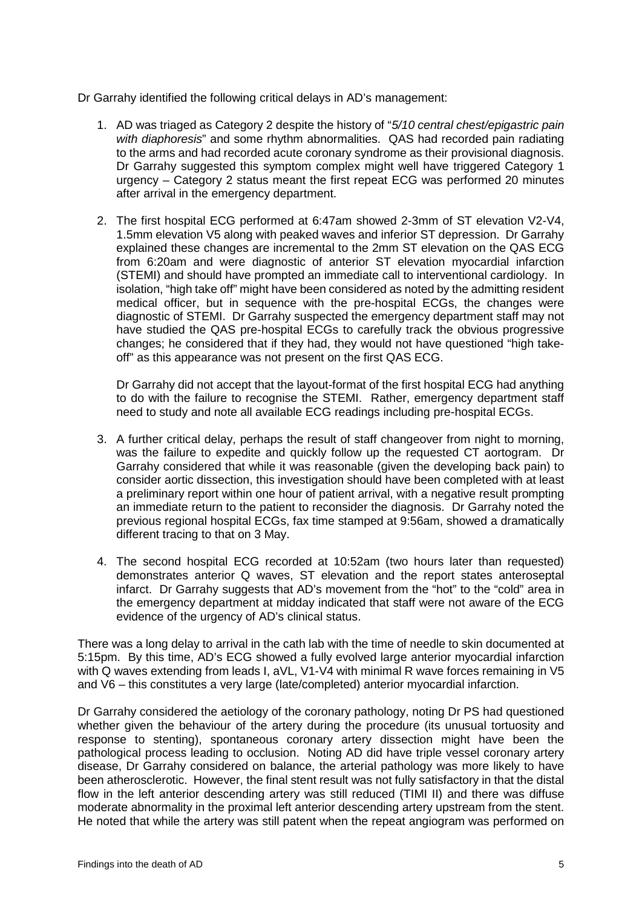Dr Garrahy identified the following critical delays in AD's management:

- 1. AD was triaged as Category 2 despite the history of "*5/10 central chest/epigastric pain with diaphoresis*" and some rhythm abnormalities. QAS had recorded pain radiating to the arms and had recorded acute coronary syndrome as their provisional diagnosis. Dr Garrahy suggested this symptom complex might well have triggered Category 1 urgency – Category 2 status meant the first repeat ECG was performed 20 minutes after arrival in the emergency department.
- 2. The first hospital ECG performed at 6:47am showed 2-3mm of ST elevation V2-V4, 1.5mm elevation V5 along with peaked waves and inferior ST depression. Dr Garrahy explained these changes are incremental to the 2mm ST elevation on the QAS ECG from 6:20am and were diagnostic of anterior ST elevation myocardial infarction (STEMI) and should have prompted an immediate call to interventional cardiology. In isolation, "high take off" might have been considered as noted by the admitting resident medical officer, but in sequence with the pre-hospital ECGs, the changes were diagnostic of STEMI. Dr Garrahy suspected the emergency department staff may not have studied the QAS pre-hospital ECGs to carefully track the obvious progressive changes; he considered that if they had, they would not have questioned "high takeoff" as this appearance was not present on the first QAS ECG.

Dr Garrahy did not accept that the layout-format of the first hospital ECG had anything to do with the failure to recognise the STEMI. Rather, emergency department staff need to study and note all available ECG readings including pre-hospital ECGs.

- 3. A further critical delay, perhaps the result of staff changeover from night to morning, was the failure to expedite and quickly follow up the requested CT aortogram. Dr Garrahy considered that while it was reasonable (given the developing back pain) to consider aortic dissection, this investigation should have been completed with at least a preliminary report within one hour of patient arrival, with a negative result prompting an immediate return to the patient to reconsider the diagnosis. Dr Garrahy noted the previous regional hospital ECGs, fax time stamped at 9:56am, showed a dramatically different tracing to that on 3 May.
- 4. The second hospital ECG recorded at 10:52am (two hours later than requested) demonstrates anterior Q waves, ST elevation and the report states anteroseptal infarct. Dr Garrahy suggests that AD's movement from the "hot" to the "cold" area in the emergency department at midday indicated that staff were not aware of the ECG evidence of the urgency of AD's clinical status.

There was a long delay to arrival in the cath lab with the time of needle to skin documented at 5:15pm. By this time, AD's ECG showed a fully evolved large anterior myocardial infarction with Q waves extending from leads I, aVL, V1-V4 with minimal R wave forces remaining in V5 and V6 – this constitutes a very large (late/completed) anterior myocardial infarction.

Dr Garrahy considered the aetiology of the coronary pathology, noting Dr PS had questioned whether given the behaviour of the artery during the procedure (its unusual tortuosity and response to stenting), spontaneous coronary artery dissection might have been the pathological process leading to occlusion. Noting AD did have triple vessel coronary artery disease, Dr Garrahy considered on balance, the arterial pathology was more likely to have been atherosclerotic. However, the final stent result was not fully satisfactory in that the distal flow in the left anterior descending artery was still reduced (TIMI II) and there was diffuse moderate abnormality in the proximal left anterior descending artery upstream from the stent. He noted that while the artery was still patent when the repeat angiogram was performed on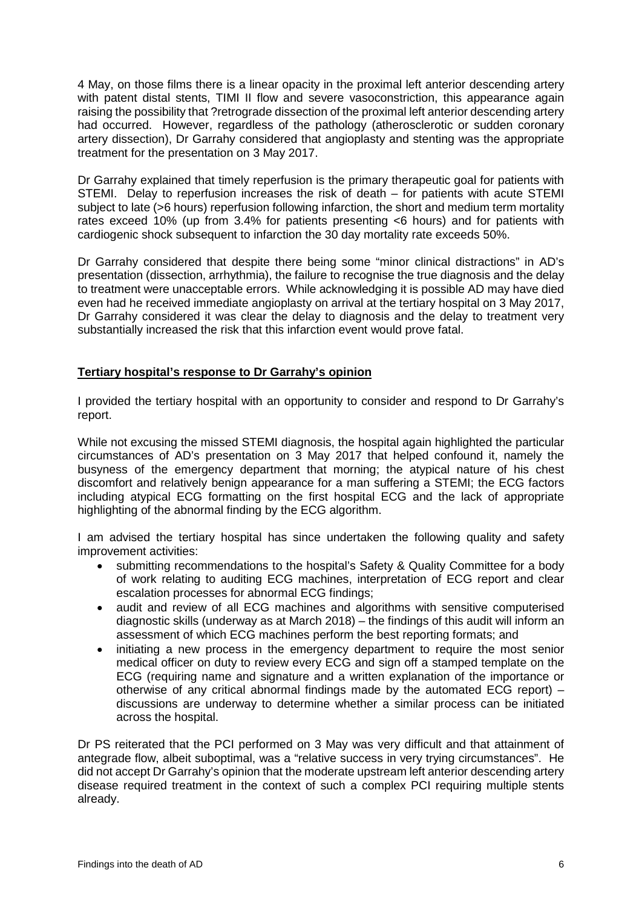4 May, on those films there is a linear opacity in the proximal left anterior descending artery with patent distal stents, TIMI II flow and severe vasoconstriction, this appearance again raising the possibility that ?retrograde dissection of the proximal left anterior descending artery had occurred. However, regardless of the pathology (atherosclerotic or sudden coronary artery dissection), Dr Garrahy considered that angioplasty and stenting was the appropriate treatment for the presentation on 3 May 2017.

Dr Garrahy explained that timely reperfusion is the primary therapeutic goal for patients with STEMI. Delay to reperfusion increases the risk of death – for patients with acute STEMI subject to late (>6 hours) reperfusion following infarction, the short and medium term mortality rates exceed 10% (up from 3.4% for patients presenting <6 hours) and for patients with cardiogenic shock subsequent to infarction the 30 day mortality rate exceeds 50%.

Dr Garrahy considered that despite there being some "minor clinical distractions" in AD's presentation (dissection, arrhythmia), the failure to recognise the true diagnosis and the delay to treatment were unacceptable errors. While acknowledging it is possible AD may have died even had he received immediate angioplasty on arrival at the tertiary hospital on 3 May 2017, Dr Garrahy considered it was clear the delay to diagnosis and the delay to treatment very substantially increased the risk that this infarction event would prove fatal.

## <span id="page-7-0"></span>**Tertiary hospital's response to Dr Garrahy's opinion**

I provided the tertiary hospital with an opportunity to consider and respond to Dr Garrahy's report.

While not excusing the missed STEMI diagnosis, the hospital again highlighted the particular circumstances of AD's presentation on 3 May 2017 that helped confound it, namely the busyness of the emergency department that morning; the atypical nature of his chest discomfort and relatively benign appearance for a man suffering a STEMI; the ECG factors including atypical ECG formatting on the first hospital ECG and the lack of appropriate highlighting of the abnormal finding by the ECG algorithm.

I am advised the tertiary hospital has since undertaken the following quality and safety improvement activities:

- submitting recommendations to the hospital's Safety & Quality Committee for a body of work relating to auditing ECG machines, interpretation of ECG report and clear escalation processes for abnormal ECG findings;
- audit and review of all ECG machines and algorithms with sensitive computerised diagnostic skills (underway as at March 2018) – the findings of this audit will inform an assessment of which ECG machines perform the best reporting formats; and
- initiating a new process in the emergency department to require the most senior medical officer on duty to review every ECG and sign off a stamped template on the ECG (requiring name and signature and a written explanation of the importance or otherwise of any critical abnormal findings made by the automated ECG report) – discussions are underway to determine whether a similar process can be initiated across the hospital.

Dr PS reiterated that the PCI performed on 3 May was very difficult and that attainment of antegrade flow, albeit suboptimal, was a "relative success in very trying circumstances". He did not accept Dr Garrahy's opinion that the moderate upstream left anterior descending artery disease required treatment in the context of such a complex PCI requiring multiple stents already.